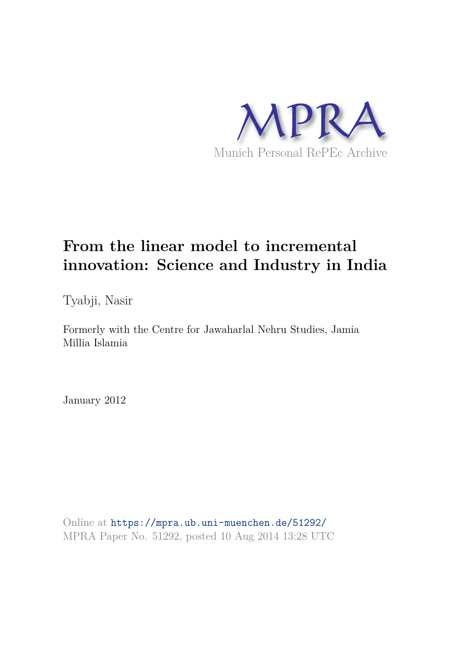

# **From the linear model to incremental innovation: Science and Industry in India**

Tyabji, Nasir

Formerly with the Centre for Jawaharlal Nehru Studies, Jamia Millia Islamia

January 2012

Online at https://mpra.ub.uni-muenchen.de/51292/ MPRA Paper No. 51292, posted 10 Aug 2014 13:28 UTC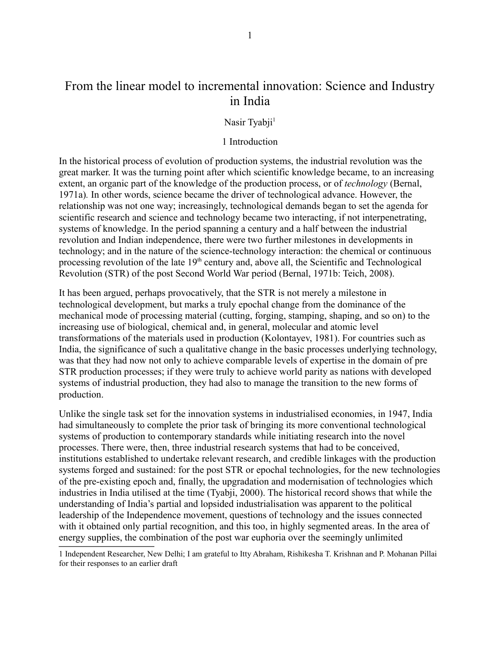# From the linear model to incremental innovation: Science and Industry in India

### Nasir Tyabji<sup>1</sup>

#### 1 Introduction

In the historical process of evolution of production systems, the industrial revolution was the great marker. It was the turning point after which scientific knowledge became, to an increasing extent, an organic part of the knowledge of the production process, or of *technology* (Bernal, 1971a)*.* In other words, science became the driver of technological advance. However, the relationship was not one way; increasingly, technological demands began to set the agenda for scientific research and science and technology became two interacting, if not interpenetrating, systems of knowledge. In the period spanning a century and a half between the industrial revolution and Indian independence, there were two further milestones in developments in technology; and in the nature of the science-technology interaction: the chemical or continuous processing revolution of the late 19<sup>th</sup> century and, above all, the Scientific and Technological Revolution (STR) of the post Second World War period (Bernal, 1971b: Teich, 2008).

It has been argued, perhaps provocatively, that the STR is not merely a milestone in technological development, but marks a truly epochal change from the dominance of the mechanical mode of processing material (cutting, forging, stamping, shaping, and so on) to the increasing use of biological, chemical and, in general, molecular and atomic level transformations of the materials used in production (Kolontayev, 1981). For countries such as India, the significance of such a qualitative change in the basic processes underlying technology, was that they had now not only to achieve comparable levels of expertise in the domain of pre STR production processes; if they were truly to achieve world parity as nations with developed systems of industrial production, they had also to manage the transition to the new forms of production.

Unlike the single task set for the innovation systems in industrialised economies, in 1947, India had simultaneously to complete the prior task of bringing its more conventional technological systems of production to contemporary standards while initiating research into the novel processes. There were, then, three industrial research systems that had to be conceived, institutions established to undertake relevant research, and credible linkages with the production systems forged and sustained: for the post STR or epochal technologies, for the new technologies of the pre-existing epoch and, finally, the upgradation and modernisation of technologies which industries in India utilised at the time (Tyabji, 2000). The historical record shows that while the understanding of India's partial and lopsided industrialisation was apparent to the political leadership of the Independence movement, questions of technology and the issues connected with it obtained only partial recognition, and this too, in highly segmented areas. In the area of energy supplies, the combination of the post war euphoria over the seemingly unlimited

<sup>1</sup> Independent Researcher, New Delhi; I am grateful to Itty Abraham, Rishikesha T. Krishnan and P. Mohanan Pillai for their responses to an earlier draft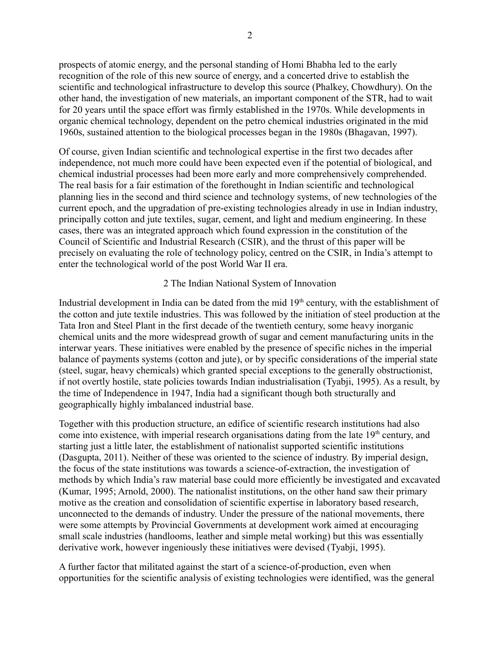prospects of atomic energy, and the personal standing of Homi Bhabha led to the early recognition of the role of this new source of energy, and a concerted drive to establish the scientific and technological infrastructure to develop this source (Phalkey, Chowdhury). On the other hand, the investigation of new materials, an important component of the STR, had to wait for 20 years until the space effort was firmly established in the 1970s. While developments in organic chemical technology, dependent on the petro chemical industries originated in the mid 1960s, sustained attention to the biological processes began in the 1980s (Bhagavan, 1997).

Of course, given Indian scientific and technological expertise in the first two decades after independence, not much more could have been expected even if the potential of biological, and chemical industrial processes had been more early and more comprehensively comprehended. The real basis for a fair estimation of the forethought in Indian scientific and technological planning lies in the second and third science and technology systems, of new technologies of the current epoch, and the upgradation of pre-existing technologies already in use in Indian industry, principally cotton and jute textiles, sugar, cement, and light and medium engineering. In these cases, there was an integrated approach which found expression in the constitution of the Council of Scientific and Industrial Research (CSIR), and the thrust of this paper will be precisely on evaluating the role of technology policy, centred on the CSIR, in India's attempt to enter the technological world of the post World War II era.

# 2 The Indian National System of Innovation

Industrial development in India can be dated from the mid 19<sup>th</sup> century, with the establishment of the cotton and jute textile industries. This was followed by the initiation of steel production at the Tata Iron and Steel Plant in the first decade of the twentieth century, some heavy inorganic chemical units and the more widespread growth of sugar and cement manufacturing units in the interwar years. These initiatives were enabled by the presence of specific niches in the imperial balance of payments systems (cotton and jute), or by specific considerations of the imperial state (steel, sugar, heavy chemicals) which granted special exceptions to the generally obstructionist, if not overtly hostile, state policies towards Indian industrialisation (Tyabji, 1995). As a result, by the time of Independence in 1947, India had a significant though both structurally and geographically highly imbalanced industrial base.

Together with this production structure, an edifice of scientific research institutions had also come into existence, with imperial research organisations dating from the late  $19<sup>th</sup>$  century, and starting just a little later, the establishment of nationalist supported scientific institutions (Dasgupta, 2011). Neither of these was oriented to the science of industry. By imperial design, the focus of the state institutions was towards a science-of-extraction, the investigation of methods by which India's raw material base could more efficiently be investigated and excavated (Kumar, 1995; Arnold, 2000). The nationalist institutions, on the other hand saw their primary motive as the creation and consolidation of scientific expertise in laboratory based research, unconnected to the demands of industry. Under the pressure of the national movements, there were some attempts by Provincial Governments at development work aimed at encouraging small scale industries (handlooms, leather and simple metal working) but this was essentially derivative work, however ingeniously these initiatives were devised (Tyabji, 1995).

A further factor that militated against the start of a science-of-production, even when opportunities for the scientific analysis of existing technologies were identified, was the general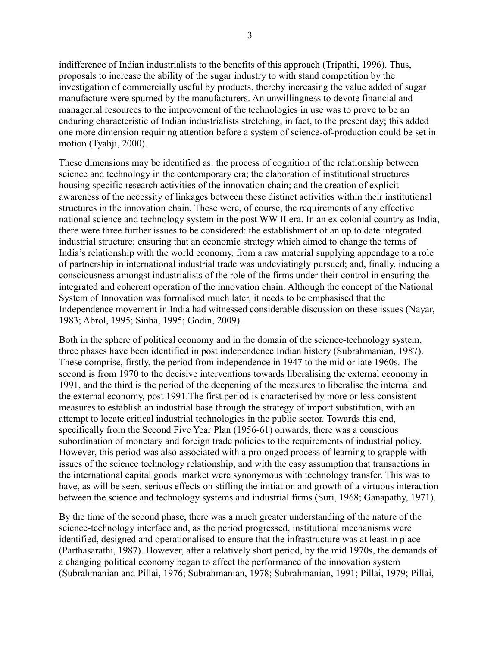indifference of Indian industrialists to the benefits of this approach (Tripathi, 1996). Thus, proposals to increase the ability of the sugar industry to with stand competition by the investigation of commercially useful by products, thereby increasing the value added of sugar manufacture were spurned by the manufacturers. An unwillingness to devote financial and managerial resources to the improvement of the technologies in use was to prove to be an enduring characteristic of Indian industrialists stretching, in fact, to the present day; this added one more dimension requiring attention before a system of science-of-production could be set in motion (Tyabji, 2000).

These dimensions may be identified as: the process of cognition of the relationship between science and technology in the contemporary era; the elaboration of institutional structures housing specific research activities of the innovation chain; and the creation of explicit awareness of the necessity of linkages between these distinct activities within their institutional structures in the innovation chain. These were, of course, the requirements of any effective national science and technology system in the post WW II era. In an ex colonial country as India, there were three further issues to be considered: the establishment of an up to date integrated industrial structure; ensuring that an economic strategy which aimed to change the terms of India's relationship with the world economy, from a raw material supplying appendage to a role of partnership in international industrial trade was undeviatingly pursued; and, finally, inducing a consciousness amongst industrialists of the role of the firms under their control in ensuring the integrated and coherent operation of the innovation chain. Although the concept of the National System of Innovation was formalised much later, it needs to be emphasised that the Independence movement in India had witnessed considerable discussion on these issues (Nayar, 1983; Abrol, 1995; Sinha, 1995; Godin, 2009).

Both in the sphere of political economy and in the domain of the science-technology system, three phases have been identified in post independence Indian history (Subrahmanian, 1987). These comprise, firstly, the period from independence in 1947 to the mid or late 1960s. The second is from 1970 to the decisive interventions towards liberalising the external economy in 1991, and the third is the period of the deepening of the measures to liberalise the internal and the external economy, post 1991.The first period is characterised by more or less consistent measures to establish an industrial base through the strategy of import substitution, with an attempt to locate critical industrial technologies in the public sector. Towards this end, specifically from the Second Five Year Plan (1956-61) onwards, there was a conscious subordination of monetary and foreign trade policies to the requirements of industrial policy. However, this period was also associated with a prolonged process of learning to grapple with issues of the science technology relationship, and with the easy assumption that transactions in the international capital goods market were synonymous with technology transfer. This was to have, as will be seen, serious effects on stifling the initiation and growth of a virtuous interaction between the science and technology systems and industrial firms (Suri, 1968; Ganapathy, 1971).

By the time of the second phase, there was a much greater understanding of the nature of the science-technology interface and, as the period progressed, institutional mechanisms were identified, designed and operationalised to ensure that the infrastructure was at least in place (Parthasarathi, 1987). However, after a relatively short period, by the mid 1970s, the demands of a changing political economy began to affect the performance of the innovation system (Subrahmanian and Pillai, 1976; Subrahmanian, 1978; Subrahmanian, 1991; Pillai, 1979; Pillai,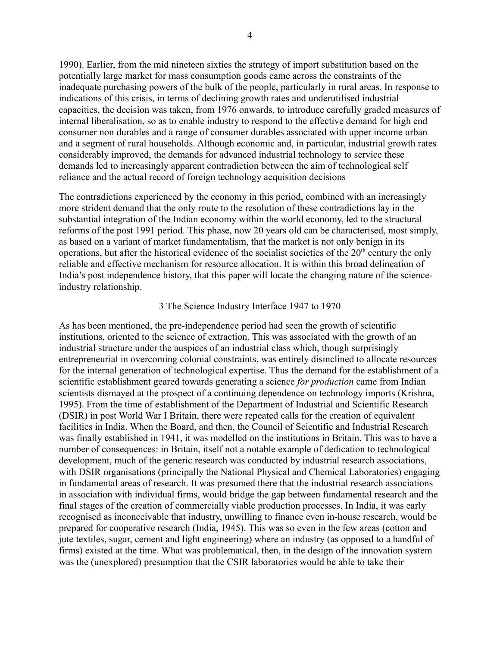1990). Earlier, from the mid nineteen sixties the strategy of import substitution based on the potentially large market for mass consumption goods came across the constraints of the inadequate purchasing powers of the bulk of the people, particularly in rural areas. In response to indications of this crisis, in terms of declining growth rates and underutilised industrial capacities, the decision was taken, from 1976 onwards, to introduce carefully graded measures of internal liberalisation, so as to enable industry to respond to the effective demand for high end consumer non durables and a range of consumer durables associated with upper income urban and a segment of rural households. Although economic and, in particular, industrial growth rates considerably improved, the demands for advanced industrial technology to service these demands led to increasingly apparent contradiction between the aim of technological self reliance and the actual record of foreign technology acquisition decisions

The contradictions experienced by the economy in this period, combined with an increasingly more strident demand that the only route to the resolution of these contradictions lay in the substantial integration of the Indian economy within the world economy, led to the structural reforms of the post 1991 period. This phase, now 20 years old can be characterised, most simply, as based on a variant of market fundamentalism, that the market is not only benign in its operations, but after the historical evidence of the socialist societies of the  $20<sup>th</sup>$  century the only reliable and effective mechanism for resource allocation. It is within this broad delineation of India's post independence history, that this paper will locate the changing nature of the scienceindustry relationship.

#### 3 The Science Industry Interface 1947 to 1970

As has been mentioned, the pre-independence period had seen the growth of scientific institutions, oriented to the science of extraction. This was associated with the growth of an industrial structure under the auspices of an industrial class which, though surprisingly entrepreneurial in overcoming colonial constraints, was entirely disinclined to allocate resources for the internal generation of technological expertise. Thus the demand for the establishment of a scientific establishment geared towards generating a science *for production* came from Indian scientists dismayed at the prospect of a continuing dependence on technology imports (Krishna, 1995). From the time of establishment of the Department of Industrial and Scientific Research (DSIR) in post World War I Britain, there were repeated calls for the creation of equivalent facilities in India. When the Board, and then, the Council of Scientific and Industrial Research was finally established in 1941, it was modelled on the institutions in Britain. This was to have a number of consequences: in Britain, itself not a notable example of dedication to technological development, much of the generic research was conducted by industrial research associations, with DSIR organisations (principally the National Physical and Chemical Laboratories) engaging in fundamental areas of research. It was presumed there that the industrial research associations in association with individual firms, would bridge the gap between fundamental research and the final stages of the creation of commercially viable production processes. In India, it was early recognised as inconceivable that industry, unwilling to finance even in-house research, would be prepared for cooperative research (India, 1945). This was so even in the few areas (cotton and jute textiles, sugar, cement and light engineering) where an industry (as opposed to a handful of firms) existed at the time. What was problematical, then, in the design of the innovation system was the (unexplored) presumption that the CSIR laboratories would be able to take their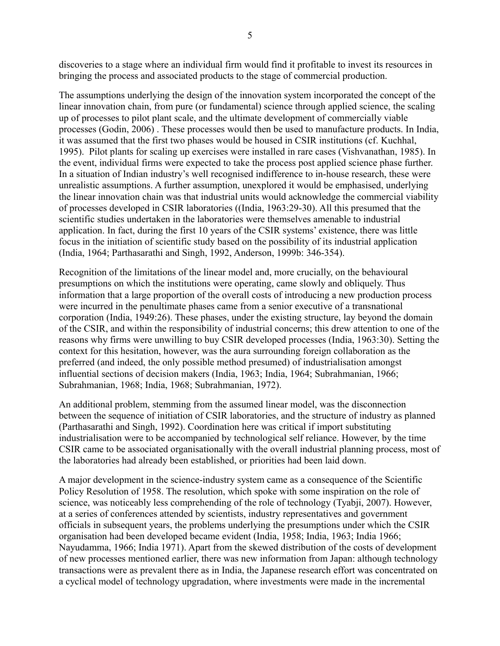discoveries to a stage where an individual firm would find it profitable to invest its resources in bringing the process and associated products to the stage of commercial production.

The assumptions underlying the design of the innovation system incorporated the concept of the linear innovation chain, from pure (or fundamental) science through applied science, the scaling up of processes to pilot plant scale, and the ultimate development of commercially viable processes (Godin, 2006) . These processes would then be used to manufacture products. In India, it was assumed that the first two phases would be housed in CSIR institutions (cf. Kuchhal, 1995). Pilot plants for scaling up exercises were installed in rare cases (Vishvanathan, 1985). In the event, individual firms were expected to take the process post applied science phase further. In a situation of Indian industry's well recognised indifference to in-house research, these were unrealistic assumptions. A further assumption, unexplored it would be emphasised, underlying the linear innovation chain was that industrial units would acknowledge the commercial viability of processes developed in CSIR laboratories ((India, 1963:29-30). All this presumed that the scientific studies undertaken in the laboratories were themselves amenable to industrial application. In fact, during the first 10 years of the CSIR systems' existence, there was little focus in the initiation of scientific study based on the possibility of its industrial application (India, 1964; Parthasarathi and Singh, 1992, Anderson, 1999b: 346-354).

Recognition of the limitations of the linear model and, more crucially, on the behavioural presumptions on which the institutions were operating, came slowly and obliquely. Thus information that a large proportion of the overall costs of introducing a new production process were incurred in the penultimate phases came from a senior executive of a transnational corporation (India, 1949:26). These phases, under the existing structure, lay beyond the domain of the CSIR, and within the responsibility of industrial concerns; this drew attention to one of the reasons why firms were unwilling to buy CSIR developed processes (India, 1963:30). Setting the context for this hesitation, however, was the aura surrounding foreign collaboration as the preferred (and indeed, the only possible method presumed) of industrialisation amongst influential sections of decision makers (India, 1963; India, 1964; Subrahmanian, 1966; Subrahmanian, 1968; India, 1968; Subrahmanian, 1972).

An additional problem, stemming from the assumed linear model, was the disconnection between the sequence of initiation of CSIR laboratories, and the structure of industry as planned (Parthasarathi and Singh, 1992). Coordination here was critical if import substituting industrialisation were to be accompanied by technological self reliance. However, by the time CSIR came to be associated organisationally with the overall industrial planning process, most of the laboratories had already been established, or priorities had been laid down.

A major development in the science-industry system came as a consequence of the Scientific Policy Resolution of 1958. The resolution, which spoke with some inspiration on the role of science, was noticeably less comprehending of the role of technology (Tyabji, 2007). However, at a series of conferences attended by scientists, industry representatives and government officials in subsequent years, the problems underlying the presumptions under which the CSIR organisation had been developed became evident (India, 1958; India, 1963; India 1966; Nayudamma, 1966; India 1971). Apart from the skewed distribution of the costs of development of new processes mentioned earlier, there was new information from Japan: although technology transactions were as prevalent there as in India, the Japanese research effort was concentrated on a cyclical model of technology upgradation, where investments were made in the incremental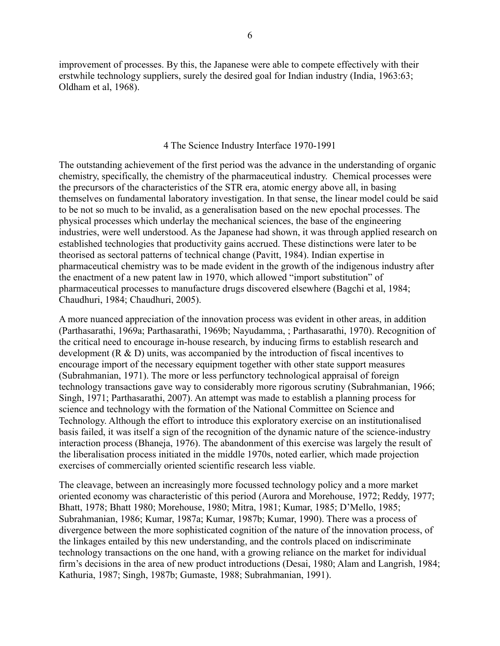improvement of processes. By this, the Japanese were able to compete effectively with their erstwhile technology suppliers, surely the desired goal for Indian industry (India, 1963:63; Oldham et al, 1968).

# 4 The Science Industry Interface 1970-1991

The outstanding achievement of the first period was the advance in the understanding of organic chemistry, specifically, the chemistry of the pharmaceutical industry. Chemical processes were the precursors of the characteristics of the STR era, atomic energy above all, in basing themselves on fundamental laboratory investigation. In that sense, the linear model could be said to be not so much to be invalid, as a generalisation based on the new epochal processes. The physical processes which underlay the mechanical sciences, the base of the engineering industries, were well understood. As the Japanese had shown, it was through applied research on established technologies that productivity gains accrued. These distinctions were later to be theorised as sectoral patterns of technical change (Pavitt, 1984). Indian expertise in pharmaceutical chemistry was to be made evident in the growth of the indigenous industry after the enactment of a new patent law in 1970, which allowed "import substitution" of pharmaceutical processes to manufacture drugs discovered elsewhere (Bagchi et al, 1984; Chaudhuri, 1984; Chaudhuri, 2005).

A more nuanced appreciation of the innovation process was evident in other areas, in addition (Parthasarathi, 1969a; Parthasarathi, 1969b; Nayudamma, ; Parthasarathi, 1970). Recognition of the critical need to encourage in-house research, by inducing firms to establish research and development (R & D) units, was accompanied by the introduction of fiscal incentives to encourage import of the necessary equipment together with other state support measures (Subrahmanian, 1971). The more or less perfunctory technological appraisal of foreign technology transactions gave way to considerably more rigorous scrutiny (Subrahmanian, 1966; Singh, 1971; Parthasarathi, 2007). An attempt was made to establish a planning process for science and technology with the formation of the National Committee on Science and Technology. Although the effort to introduce this exploratory exercise on an institutionalised basis failed, it was itself a sign of the recognition of the dynamic nature of the science-industry interaction process (Bhaneja, 1976). The abandonment of this exercise was largely the result of the liberalisation process initiated in the middle 1970s, noted earlier, which made projection exercises of commercially oriented scientific research less viable.

The cleavage, between an increasingly more focussed technology policy and a more market oriented economy was characteristic of this period (Aurora and Morehouse, 1972; Reddy, 1977; Bhatt, 1978; Bhatt 1980; Morehouse, 1980; Mitra, 1981; Kumar, 1985; D'Mello, 1985; Subrahmanian, 1986; Kumar, 1987a; Kumar, 1987b; Kumar, 1990). There was a process of divergence between the more sophisticated cognition of the nature of the innovation process, of the linkages entailed by this new understanding, and the controls placed on indiscriminate technology transactions on the one hand, with a growing reliance on the market for individual firm's decisions in the area of new product introductions (Desai, 1980; Alam and Langrish, 1984; Kathuria, 1987; Singh, 1987b; Gumaste, 1988; Subrahmanian, 1991).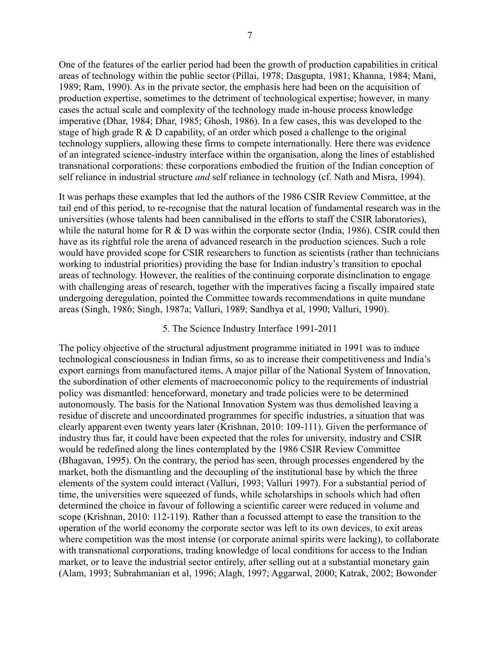One of the features of the earlier period had been the growth of production capabilities in critical areas of technology within the public sector (Pillai, 1978; Dasgupta, 1981; Khanna, 1984; Mani, 1989; Ram, 1990). As in the private sector, the emphasis here had been on the acquisition of production expertise, sometimes to the detriment of technological expertise; however, in many cases the actual scale and complexity of the technology made in-house process knowledge imperative (Dhar, 1984; Dhar, 1985; Ghosh, 1986). In a few cases, this was developed to the stage of high grade R & D capability, of an order which posed a challenge to the original technology suppliers, allowing these firms to compete internationally. Here there was evidence of an integrated science-industry interface within the organisation, along the lines of established transnational corporations: these corporations embodied the fruition of the Indian conception of self reliance in industrial structure *and* self reliance in technology (cf. Nath and Misra, 1994).

It was perhaps these examples that led the authors of the 1986 CSIR Review Committee, at the tail end of this period, to re-recognise that the natural location of fundamental research was in the universities (whose talents had been cannibalised in the efforts to staff the CSIR laboratories), while the natural home for R & D was within the corporate sector (India, 1986). CSIR could then have as its rightful role the arena of advanced research in the production sciences. Such a role would have provided scope for CSIR researchers to function as scientists (rather than technicians working to industrial priorities) providing the base for Indian industry's transition to epochal areas of technology. However, the realities of the continuing corporate disinclination to engage with challenging areas of research, together with the imperatives facing a fiscally impaired state undergoing deregulation, pointed the Committee towards recommendations in quite mundane areas (Singh, 1986; Singh, 1987a; Valluri, 1989; Sandhya et al, 1990; Valluri, 1990).

# 5. The Science Industry Interface 1991-2011

The policy objective of the structural adjustment programme initiated in 1991 was to induce technological consciousness in Indian firms, so as to increase their competitiveness and India's export earnings from manufactured items. A major pillar of the National System of Innovation, the subordination of other elements of macroeconomic policy to the requirements of industrial policy was dismantled: henceforward, monetary and trade policies were to be determined autonomously. The basis for the National Innovation System was thus demolished leaving a residue of discrete and uncoordinated programmes for specific industries, a situation that was clearly apparent even twenty years later (Krishnan, 2010: 109-111). Given the performance of industry thus far, it could have been expected that the roles for university, industry and CSIR would be redefined along the lines contemplated by the 1986 CSIR Review Committee (Bhagavan, 1995). On the contrary, the period has seen, through processes engendered by the market, both the dismantling and the decoupling of the institutional base by which the three elements of the system could interact (Valluri, 1993; Valluri 1997). For a substantial period of time, the universities were squeezed of funds, while scholarships in schools which had often determined the choice in favour of following a scientific career were reduced in volume and scope (Krishnan, 2010: 112-119). Rather than a focussed attempt to ease the transition to the operation of the world economy the corporate sector was left to its own devices, to exit areas where competition was the most intense (or corporate animal spirits were lacking), to collaborate with transnational corporations, trading knowledge of local conditions for access to the Indian market, or to leave the industrial sector entirely, after selling out at a substantial monetary gain (Alam, 1993; Subrahmanian et al, 1996; Alagh, 1997; Aggarwal, 2000; Katrak, 2002; Bowonder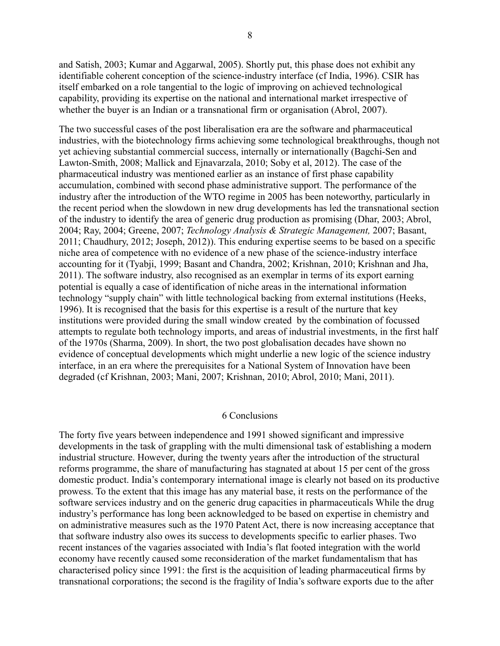and Satish, 2003; Kumar and Aggarwal, 2005). Shortly put, this phase does not exhibit any identifiable coherent conception of the science-industry interface (cf India, 1996). CSIR has itself embarked on a role tangential to the logic of improving on achieved technological capability, providing its expertise on the national and international market irrespective of whether the buyer is an Indian or a transnational firm or organisation (Abrol, 2007).

The two successful cases of the post liberalisation era are the software and pharmaceutical industries, with the biotechnology firms achieving some technological breakthroughs, though not yet achieving substantial commercial success, internally or internationally (Bagchi-Sen and Lawton-Smith, 2008; Mallick and Ejnavarzala, 2010; Soby et al, 2012). The case of the pharmaceutical industry was mentioned earlier as an instance of first phase capability accumulation, combined with second phase administrative support. The performance of the industry after the introduction of the WTO regime in 2005 has been noteworthy, particularly in the recent period when the slowdown in new drug developments has led the transnational section of the industry to identify the area of generic drug production as promising (Dhar, 2003; Abrol, 2004; Ray, 2004; Greene, 2007; *Technology Analysis & Strategic Management,* 2007; Basant, 2011; Chaudhury, 2012; Joseph, 2012)). This enduring expertise seems to be based on a specific niche area of competence with no evidence of a new phase of the science-industry interface accounting for it (Tyabji, 1999; Basant and Chandra, 2002; Krishnan, 2010; Krishnan and Jha, 2011). The software industry, also recognised as an exemplar in terms of its export earning potential is equally a case of identification of niche areas in the international information technology "supply chain" with little technological backing from external institutions (Heeks, 1996). It is recognised that the basis for this expertise is a result of the nurture that key institutions were provided during the small window created by the combination of focussed attempts to regulate both technology imports, and areas of industrial investments, in the first half of the 1970s (Sharma, 2009). In short, the two post globalisation decades have shown no evidence of conceptual developments which might underlie a new logic of the science industry interface, in an era where the prerequisites for a National System of Innovation have been degraded (cf Krishnan, 2003; Mani, 2007; Krishnan, 2010; Abrol, 2010; Mani, 2011).

#### 6 Conclusions

The forty five years between independence and 1991 showed significant and impressive developments in the task of grappling with the multi dimensional task of establishing a modern industrial structure. However, during the twenty years after the introduction of the structural reforms programme, the share of manufacturing has stagnated at about 15 per cent of the gross domestic product. India's contemporary international image is clearly not based on its productive prowess. To the extent that this image has any material base, it rests on the performance of the software services industry and on the generic drug capacities in pharmaceuticals While the drug industry's performance has long been acknowledged to be based on expertise in chemistry and on administrative measures such as the 1970 Patent Act, there is now increasing acceptance that that software industry also owes its success to developments specific to earlier phases. Two recent instances of the vagaries associated with India's flat footed integration with the world economy have recently caused some reconsideration of the market fundamentalism that has characterised policy since 1991: the first is the acquisition of leading pharmaceutical firms by transnational corporations; the second is the fragility of India's software exports due to the after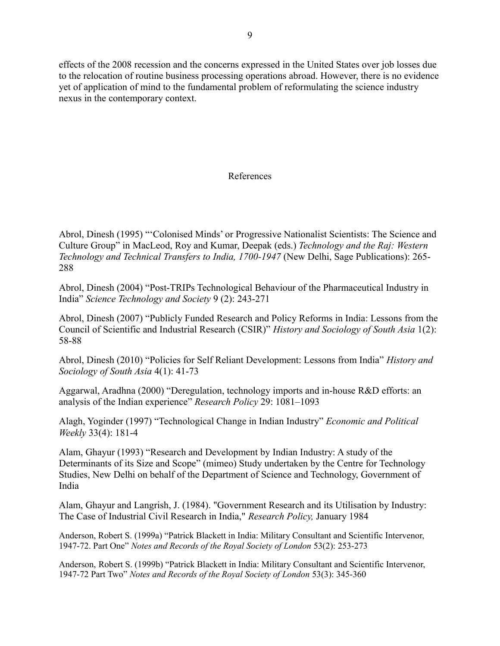effects of the 2008 recession and the concerns expressed in the United States over job losses due to the relocation of routine business processing operations abroad. However, there is no evidence yet of application of mind to the fundamental problem of reformulating the science industry nexus in the contemporary context.

# References

Abrol, Dinesh (1995) "'Colonised Minds' or Progressive Nationalist Scientists: The Science and Culture Group" in MacLeod, Roy and Kumar, Deepak (eds.) *Technology and the Raj: Western Technology and Technical Transfers to India, 1700-1947* (New Delhi, Sage Publications): 265- 288

Abrol, Dinesh (2004) "Post-TRIPs Technological Behaviour of the Pharmaceutical Industry in India" *Science Technology and Society* 9 (2): 243-271

Abrol, Dinesh (2007) "Publicly Funded Research and Policy Reforms in India: Lessons from the Council of Scientific and Industrial Research (CSIR)" *History and Sociology of South Asia* 1(2): 58-88

Abrol, Dinesh (2010) "Policies for Self Reliant Development: Lessons from India" *History and Sociology of South Asia* 4(1): 41-73

Aggarwal, Aradhna (2000) "Deregulation, technology imports and in-house R&D efforts: an analysis of the Indian experience" *Research Policy* 29: 1081–1093

Alagh, Yoginder (1997) "Technological Change in Indian Industry" *Economic and Political Weekly* 33(4): 181-4

Alam, Ghayur (1993) "Research and Development by Indian Industry: A study of the Determinants of its Size and Scope" (mimeo) Study undertaken by the Centre for Technology Studies, New Delhi on behalf of the Department of Science and Technology, Government of India

Alam, Ghayur and Langrish, J. (1984). "Government Research and its Utilisation by Industry: The Case of Industrial Civil Research in India," *Research Policy,* January 1984

Anderson, Robert S. (1999a) "Patrick Blackett in India: Military Consultant and Scientific Intervenor, 1947-72. Part One" *Notes and Records of the Royal Society of London* 53(2): 253-273

Anderson, Robert S. (1999b) "Patrick Blackett in India: Military Consultant and Scientific Intervenor, 1947-72 Part Two" *Notes and Records of the Royal Society of London* 53(3): 345-360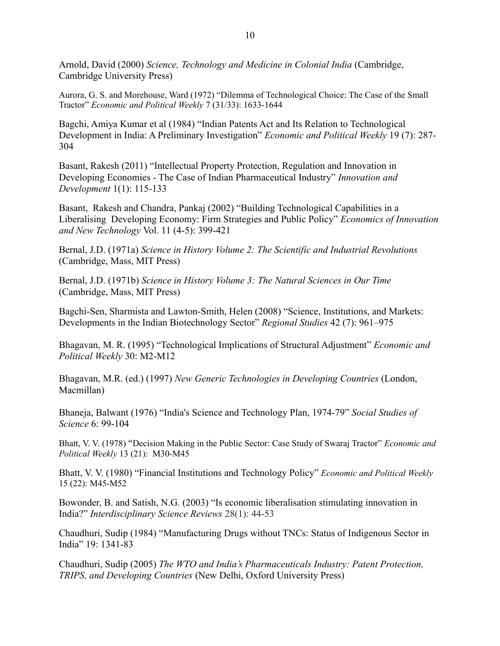Arnold, David (2000) *Science, Technology and Medicine in Colonial India* (Cambridge, Cambridge University Press)

Aurora, G. S. and Morehouse, Ward (1972) "Dilemma of Technological Choice: The Case of the Small Tractor" *Economic and Political Weekly* 7 (31/33): 1633-1644

Bagchi, Amiya Kumar et al (1984) "Indian Patents Act and Its Relation to Technological Development in India: A Preliminary Investigation" *Economic and Political Weekly* 19 (7): 287- 304

Basant, Rakesh (2011) "Intellectual Property Protection, Regulation and Innovation in Developing Economies - The Case of Indian Pharmaceutical Industry" *Innovation and Development* 1(1): 115-133

Basant, Rakesh and Chandra, Pankaj (2002) "Building Technological Capabilities in a Liberalising Developing Economy: Firm Strategies and Public Policy" *Economics of Innovation and New Technology* Vol. 11 (4-5): 399-421

Bernal, J.D. (1971a) *Science in History Volume 2: The Scientific and Industrial Revolutions* (Cambridge, Mass, MIT Press)

Bernal, J.D. (1971b) *Science in History Volume 3: The Natural Sciences in Our Time*  (Cambridge, Mass, MIT Press)

Bagchi-Sen, Sharmista and Lawton-Smith, Helen (2008) "Science, Institutions, and Markets: Developments in the Indian Biotechnology Sector" *Regional Studies* 42 (7): 961–975

Bhagavan, M. R. (1995) "Technological Implications of Structural Adjustment" *Economic and Political Weekly* 30: M2-M12

Bhagavan, M.R. (ed.) (1997) *New Generic Technologies in Developing Countries* (London, Macmillan)

Bhaneja, Balwant (1976) "India's Science and Technology Plan, 1974-79" *Social Studies of Science* 6: 99-104

Bhatt, V. V. (1978) "Decision Making in the Public Sector: Case Study of Swaraj Tractor" *Economic and Political Weekly* 13 (21): M30-M45

Bhatt, V. V. (1980) "Financial Institutions and Technology Policy" *Economic and Political Weekly*  15 (22): M45-M52

Bowonder, B. and Satish, N.G. (2003) "Is economic liberalisation stimulating innovation in India?" *Interdisciplinary Science Reviews* 28(1): 44-53

Chaudhuri, Sudip (1984) "Manufacturing Drugs without TNCs: Status of Indigenous Sector in India" 19: 1341-83

Chaudhuri, Sudip (2005) *The WTO and India's Pharmaceuticals Industry: Patent Protection, TRIPS, and Developing Countries* (New Delhi, Oxford University Press)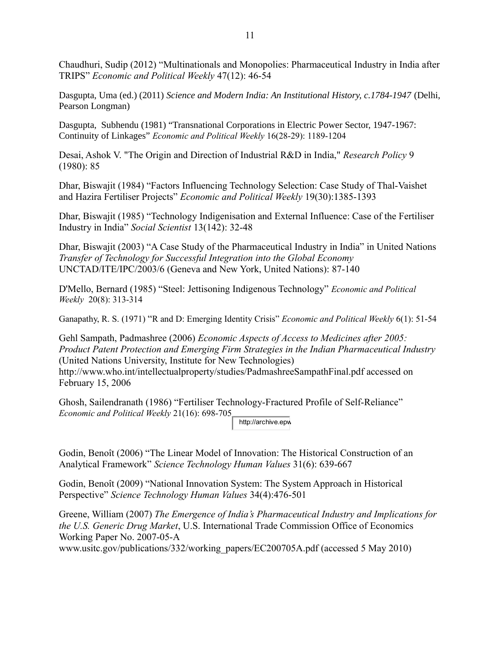Chaudhuri, Sudip (2012) "Multinationals and Monopolies: Pharmaceutical Industry in India after TRIPS" *Economic and Political Weekly* 47(12): 46-54

Dasgupta, Uma (ed.) (2011) *Science and Modern India: An Institutional History, c.1784-1947* (Delhi, Pearson Longman)

Dasgupta, Subhendu (1981) "Transnational Corporations in Electric Power Sector, 1947-1967: Continuity of Linkages" *Economic and Political Weekly* 16(28-29): 1189-1204

Desai, Ashok V. "The Origin and Direction of Industrial R&D in India," *Research Policy* 9 (1980): 85

Dhar, Biswajit (1984) "Factors Influencing Technology Selection: Case Study of Thal-Vaishet and Hazira Fertiliser Projects" *Economic and Political Weekly* 19(30):1385-1393

Dhar, Biswajit (1985) "Technology Indigenisation and External Influence: Case of the Fertiliser Industry in India" *Social Scientist* 13(142): 32-48

Dhar, Biswajit (2003) "A Case Study of the Pharmaceutical Industry in India" in United Nations *Transfer of Technology for Successful Integration into the Global Economy* UNCTAD/ITE/IPC/2003/6 (Geneva and New York, United Nations): 87-140

D'Mello, Bernard (1985) "Steel: Jettisoning Indigenous Technology" *Economic and Political Weekly* 20(8): 313-314

Ganapathy, R. S. (1971) "R and D: Emerging Identity Crisis" *Economic and Political Weekly* 6(1): 51-54

Gehl Sampath, Padmashree (2006) *Economic Aspects of Access to Medicines after 2005: Product Patent Protection and Emerging Firm Strategies in the Indian Pharmaceutical Industry* (United Nations University, Institute for New Technologies) http://www.who.int/intellectualproperty/studies/PadmashreeSampathFinal.pdf accessed on February 15, 2006

Ghosh, Sailendranath (1986) "Fertiliser Technology-Fractured Profile of Self-Reliance" *Economic and Political Weekly* 21(16): 698-705 http://archive.epw

Godin, Benoît (2006) "The Linear Model of Innovation: The Historical Construction of an Analytical Framework" *Science Technology Human Values* 31(6): 639-667

Godin, Benoît (2009) "National Innovation System: The System Approach in Historical Perspective" *Science Technology Human Values* 34(4):476-501

Greene, William (2007) *The Emergence of India's Pharmaceutical Industry and Implications for the U.S. Generic Drug Market*, U.S. International Trade Commission Office of Economics Working Paper No. 2007-05-A

www.usitc.gov/publications/332/working\_papers/EC200705A.pdf (accessed 5 May 2010)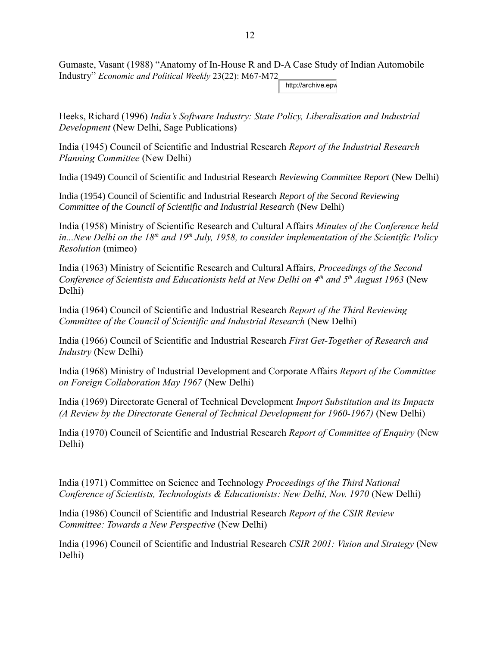Gumaste, Vasant (1988) "Anatomy of In-House R and D-A Case Study of Indian Automobile Industry" *Economic and Political Weekly* 23(22): M67-M72

http://archive.epw

Heeks, Richard (1996) *India's Software Industry: State Policy, Liberalisation and Industrial Development* (New Delhi, Sage Publications)

India (1945) Council of Scientific and Industrial Research *Report of the Industrial Research Planning Committee* (New Delhi)

India (1949) Council of Scientific and Industrial Research *Reviewing Committee Report* (New Delhi)

India (1954) Council of Scientific and Industrial Research *Report of the Second Reviewing Committee of the Council of Scientific and Industrial Research* (New Delhi)

India (1958) Ministry of Scientific Research and Cultural Affairs *Minutes of the Conference held in...New Delhi on the 18th and 19th July, 1958, to consider implementation of the Scientific Policy Resolution* (mimeo)

India (1963) Ministry of Scientific Research and Cultural Affairs, *Proceedings of the Second Conference of Scientists and Educationists held at New Delhi on 4th and 5th August 1963* (New Delhi)

India (1964) Council of Scientific and Industrial Research *Report of the Third Reviewing Committee of the Council of Scientific and Industrial Research* (New Delhi)

India (1966) Council of Scientific and Industrial Research *First Get-Together of Research and Industry* (New Delhi)

India (1968) Ministry of Industrial Development and Corporate Affairs *Report of the Committee on Foreign Collaboration May 1967* (New Delhi)

India (1969) Directorate General of Technical Development *Import Substitution and its Impacts (A Review by the Directorate General of Technical Development for 1960-1967)* (New Delhi)

India (1970) Council of Scientific and Industrial Research *Report of Committee of Enquiry* (New Delhi)

India (1971) Committee on Science and Technology *Proceedings of the Third National Conference of Scientists, Technologists & Educationists: New Delhi, Nov. 1970* (New Delhi)

India (1986) Council of Scientific and Industrial Research *Report of the CSIR Review Committee: Towards a New Perspective* (New Delhi)

India (1996) Council of Scientific and Industrial Research *CSIR 2001: Vision and Strategy* (New Delhi)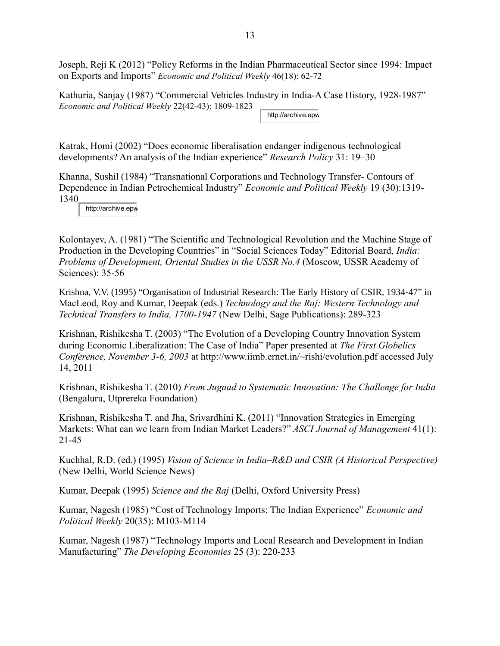Joseph, Reji K (2012) "Policy Reforms in the Indian Pharmaceutical Sector since 1994: Impact on Exports and Imports" *Economic and Political Weekly* 46(18): 62-72

Kathuria, Sanjay (1987) "Commercial Vehicles Industry in India-A Case History, 1928-1987" *Economic and Political Weekly* 22(42-43): 1809-1823 http://archive.epw

Katrak, Homi (2002) "Does economic liberalisation endanger indigenous technological developments? An analysis of the Indian experience" *Research Policy* 31: 19–30

Khanna, Sushil (1984) "Transnational Corporations and Technology Transfer- Contours of Dependence in Indian Petrochemical Industry" *Economic and Political Weekly* 19 (30):1319- 1340

http://archive.epw

Kolontayev, A. (1981) "The Scientific and Technological Revolution and the Machine Stage of Production in the Developing Countries" in "Social Sciences Today" Editorial Board, *India: Problems of Development, Oriental Studies in the USSR No.4* (Moscow, USSR Academy of Sciences): 35-56

Krishna, V.V. (1995) "Organisation of Industrial Research: The Early History of CSIR, 1934-47" in MacLeod, Roy and Kumar, Deepak (eds.) *Technology and the Raj: Western Technology and Technical Transfers to India, 1700-1947* (New Delhi, Sage Publications): 289-323

Krishnan, Rishikesha T. (2003) "The Evolution of a Developing Country Innovation System during Economic Liberalization: The Case of India" Paper presented at *The First Globelics Conference, November 3-6, 2003* at http://www.iimb.ernet.in/~rishi/evolution.pdf accessed July 14, 2011

Krishnan, Rishikesha T. (2010) *From Jugaad to Systematic Innovation: The Challenge for India* (Bengaluru, Utprereka Foundation)

Krishnan, Rishikesha T. and Jha, Srivardhini K. (2011) "Innovation Strategies in Emerging Markets: What can we learn from Indian Market Leaders?" *ASCI Journal of Management* 41(1): 21-45

Kuchhal, R.D. (ed.) (1995) *Vision of Science in India–R&D and CSIR (A Historical Perspective)* (New Delhi, World Science News)

Kumar, Deepak (1995) *Science and the Raj* (Delhi, Oxford University Press)

Kumar, Nagesh (1985) "Cost of Technology Imports: The Indian Experience" *Economic and Political Weekly* 20(35): M103-M114

Kumar, Nagesh (1987) "Technology Imports and Local Research and Development in Indian Manufacturing" *The Developing Economies* 25 (3): 220-233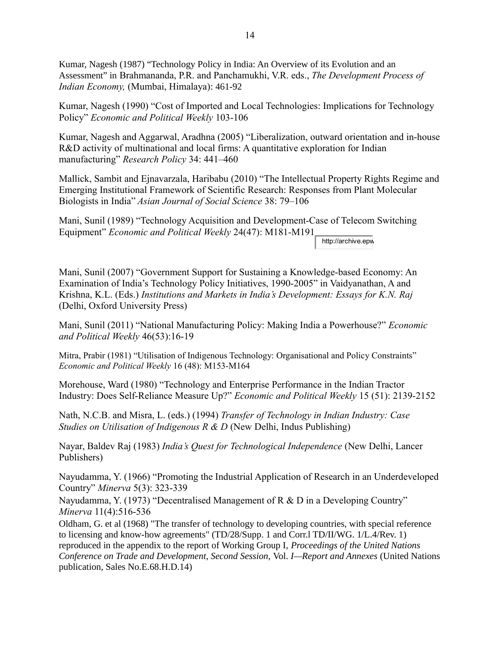Kumar, Nagesh (1987) "Technology Policy in India: An Overview of its Evolution and an Assessment" in Brahmananda, P.R. and Panchamukhi, V.R. eds., *The Development Process of Indian Economy,* (Mumbai, Himalaya): 461-92

Kumar, Nagesh (1990) "Cost of Imported and Local Technologies: Implications for Technology Policy" *Economic and Political Weekly* 103-106

Kumar, Nagesh and Aggarwal, Aradhna (2005) "Liberalization, outward orientation and in-house R&D activity of multinational and local firms: A quantitative exploration for Indian manufacturing" *Research Policy* 34: 441–460

Mallick, Sambit and Ejnavarzala, Haribabu (2010) "The Intellectual Property Rights Regime and Emerging Institutional Framework of Scientific Research: Responses from Plant Molecular Biologists in India" *Asian Journal of Social Science* 38: 79–106

Mani, Sunil (1989) "Technology Acquisition and Development-Case of Telecom Switching Equipment" *Economic and Political Weekly* 24(47): M181-M191

http://archive.epw

Mani, Sunil (2007) "Government Support for Sustaining a Knowledge-based Economy: An Examination of India's Technology Policy Initiatives, 1990-2005" in Vaidyanathan, A and Krishna, K.L. (Eds.) *Institutions and Markets in India's Development: Essays for K.N. Raj* (Delhi, Oxford University Press)

Mani, Sunil (2011) "National Manufacturing Policy: Making India a Powerhouse?" *Economic and Political Weekly* 46(53):16-19

Mitra, Prabir (1981) "Utilisation of Indigenous Technology: Organisational and Policy Constraints" *Economic and Political Weekly* 16 (48): M153-M164

Morehouse, Ward (1980) "Technology and Enterprise Performance in the Indian Tractor Industry: Does Self-Reliance Measure Up?" *Economic and Political Weekly* 15 (51): 2139-2152

Nath, N.C.B. and Misra, L. (eds.) (1994) *Transfer of Technology in Indian Industry: Case Studies on Utilisation of Indigenous R & D* (New Delhi, Indus Publishing)

Nayar, Baldev Raj (1983) *India's Quest for Technological Independence* (New Delhi, Lancer Publishers)

Nayudamma, Y. (1966) "Promoting the Industrial Application of Research in an Underdeveloped Country" *Minerva* 5(3): 323-339

Nayudamma, Y. (1973) "Decentralised Management of R & D in a Developing Country" *Minerva* 11(4):516-536

Oldham, G. et al (1968) "The transfer of technology to developing countries, with special reference to licensing and know-how agreements" (TD/28/Supp. 1 and Corr.l TD/II/WG. 1/L.4/Rev. 1) reproduced in the appendix to the report of Working Group I, *Proceedings of the United Nations Conference on Trade and Development, Second Session,* Vol. *I—Report and Annexes* (United Nations publication, Sales No.E.68.H.D.14)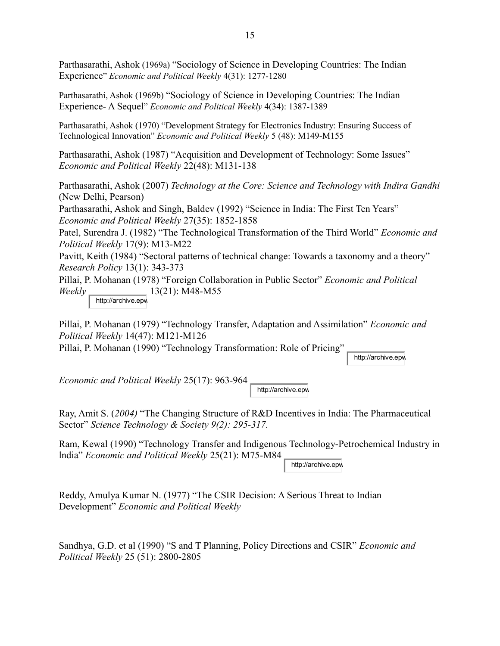Parthasarathi, Ashok (1969a) "Sociology of Science in Developing Countries: The Indian Experience" *Economic and Political Weekly* 4(31): 1277-1280

Parthasarathi, Ashok (1969b) "Sociology of Science in Developing Countries: The Indian Experience- A Sequel" *Economic and Political Weekly* 4(34): 1387-1389

Parthasarathi, Ashok (1970) "Development Strategy for Electronics Industry: Ensuring Success of Technological Innovation" *Economic and Political Weekly* 5 (48): M149-M155

Parthasarathi, Ashok (1987) "Acquisition and Development of Technology: Some Issues" *Economic and Political Weekly* 22(48): M131-138

Parthasarathi, Ashok (2007) *Technology at the Core: Science and Technology with Indira Gandhi* (New Delhi, Pearson)

Parthasarathi, Ashok and Singh, Baldev (1992) "Science in India: The First Ten Years" *Economic and Political Weekly* 27(35): 1852-1858

Patel, Surendra J. (1982) "The Technological Transformation of the Third World" *Economic and Political Weekly* 17(9): M13-M22

Pavitt, Keith (1984) "Sectoral patterns of technical change: Towards a taxonomy and a theory" *Research Policy* 13(1): 343-373

Pillai, P. Mohanan (1978) "Foreign Collaboration in Public Sector" *Economic and Political Weekly* 13(21): M48-M55

http://archive.epw

Pillai, P. Mohanan (1979) "Technology Transfer, Adaptation and Assimilation" *Economic and Political Weekly* 14(47): M121-M126

Pillai, P. Mohanan (1990) "Technology Transformation: Role of Pricing"

http://archive.epw

*Economic and Political Weekly* 25(17): 963-964

http://archive.epw

Ray, Amit S. (*2004)* "The Changing Structure of R&D Incentives in India: The Pharmaceutical Sector" *Science Technology & Society 9(2): 295-317.*

Ram, Kewal (1990) "Technology Transfer and Indigenous Technology-Petrochemical Industry in lndia" *Economic and Political Weekly* 25(21): M75-M84

http://archive.epw

Reddy, Amulya Kumar N. (1977) "The CSIR Decision: A Serious Threat to Indian Development" *Economic and Political Weekly*

Sandhya, G.D. et al (1990) "S and T Planning, Policy Directions and CSIR" *Economic and Political Weekly* 25 (51): 2800-2805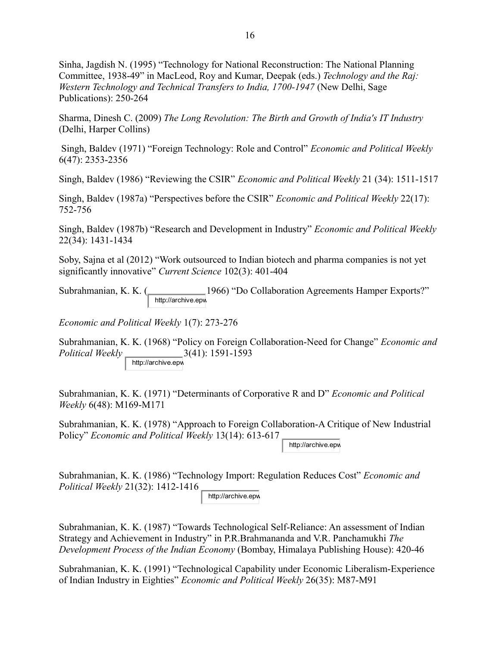Sinha, Jagdish N. (1995) "Technology for National Reconstruction: The National Planning Committee, 1938-49" in MacLeod, Roy and Kumar, Deepak (eds.) *Technology and the Raj: Western Technology and Technical Transfers to India, 1700-1947* (New Delhi, Sage Publications): 250-264

Sharma, Dinesh C. (2009) *The Long Revolution: The Birth and Growth of India's IT Industry* (Delhi, Harper Collins)

 Singh, Baldev (1971) "Foreign Technology: Role and Control" *Economic and Political Weekly* 6(47): 2353-2356

Singh, Baldev (1986) "Reviewing the CSIR" *Economic and Political Weekly* 21 (34): 1511-1517

Singh, Baldev (1987a) "Perspectives before the CSIR" *Economic and Political Weekly* 22(17): 752-756

Singh, Baldev (1987b) "Research and Development in Industry" *Economic and Political Weekly* 22(34): 1431-1434

Soby, Sajna et al (2012) "Work outsourced to Indian biotech and pharma companies is not yet significantly innovative" *Current Science* 102(3): 401-404

Subrahmanian, K. K. (1966) "Do Collaboration Agreements Hamper Exports?" http://archive.epw

*Economic and Political Weekly* 1(7): 273-276

Subrahmanian, K. K. (1968) "Policy on Foreign Collaboration-Need for Change" *Economic and Political Weekly* 3(41): 1591-1593 http://archive.epw

Subrahmanian, K. K. (1971) "Determinants of Corporative R and D" *Economic and Political Weekly* 6(48): M169-M171

Subrahmanian, K. K. (1978) "Approach to Foreign Collaboration-A Critique of New Industrial Policy" *Economic and Political Weekly* 13(14): 613-617

http://archive.epw

Subrahmanian, K. K. (1986) "Technology Import: Regulation Reduces Cost" *Economic and Political Weekly* 21(32): 1412-1416 http://archive.epw

Subrahmanian, K. K. (1987) "Towards Technological Self-Reliance: An assessment of Indian Strategy and Achievement in Industry" in P.R.Brahmananda and V.R. Panchamukhi *The Development Process of the Indian Economy* (Bombay, Himalaya Publishing House): 420-46

Subrahmanian, K. K. (1991) "Technological Capability under Economic Liberalism-Experience of Indian Industry in Eighties" *Economic and Political Weekly* 26(35): M87-M91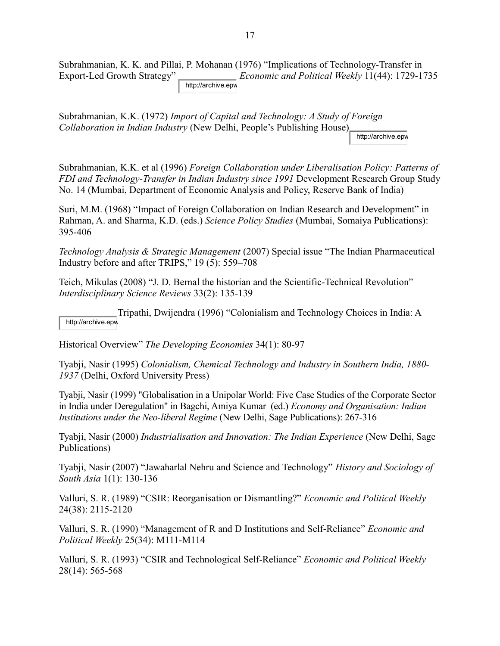Subrahmanian, K. K. and Pillai, P. Mohanan (1976) "Implications of Technology-Transfer in Export-Led Growth Strategy" *Economic and Political Weekly* 11(44): 1729-1735 http://archive.epw

Subrahmanian, K.K. (1972) *Import of Capital and Technology: A Study of Foreign Collaboration in Indian Industry* (New Delhi, People's Publishing House) http://archive.epw

Subrahmanian, K.K. et al (1996) *Foreign Collaboration under Liberalisation Policy: Patterns of FDI and Technology-Transfer in Indian Industry since 1991* Development Research Group Study No. 14 (Mumbai, Department of Economic Analysis and Policy, Reserve Bank of India)

Suri, M.M. (1968) "Impact of Foreign Collaboration on Indian Research and Development" in Rahman, A. and Sharma, K.D. (eds.) *Science Policy Studies* (Mumbai, Somaiya Publications): 395-406

*Technology Analysis & Strategic Management* (2007) Special issue "The Indian Pharmaceutical Industry before and after TRIPS," 19 (5): 559–708

Teich, Mikulas (2008) "J. D. Bernal the historian and the Scientific-Technical Revolution" *Interdisciplinary Science Reviews* 33(2): 135-139

Tripathi, Dwijendra (1996) "Colonialism and Technology Choices in India: A http://archive.epw

Historical Overview" *The Developing Economies* 34(1): 80-97

Tyabji, Nasir (1995) *Colonialism, Chemical Technology and Industry in Southern India, 1880- 1937* (Delhi, Oxford University Press)

Tyabji, Nasir (1999) "Globalisation in a Unipolar World: Five Case Studies of the Corporate Sector in India under Deregulation" in Bagchi, Amiya Kumar (ed.) *Economy and Organisation: Indian Institutions under the Neo-liberal Regime* (New Delhi, Sage Publications): 267-316

Tyabji, Nasir (2000) *Industrialisation and Innovation: The Indian Experience* (New Delhi, Sage Publications)

Tyabji, Nasir (2007) "Jawaharlal Nehru and Science and Technology" *History and Sociology of South Asia* 1(1): 130-136

Valluri, S. R. (1989) "CSIR: Reorganisation or Dismantling?" *Economic and Political Weekly* 24(38): 2115-2120

Valluri, S. R. (1990) "Management of R and D Institutions and Self-Reliance" *Economic and Political Weekly* 25(34): M111-M114

Valluri, S. R. (1993) "CSIR and Technological Self-Reliance" *Economic and Political Weekly* 28(14): 565-568